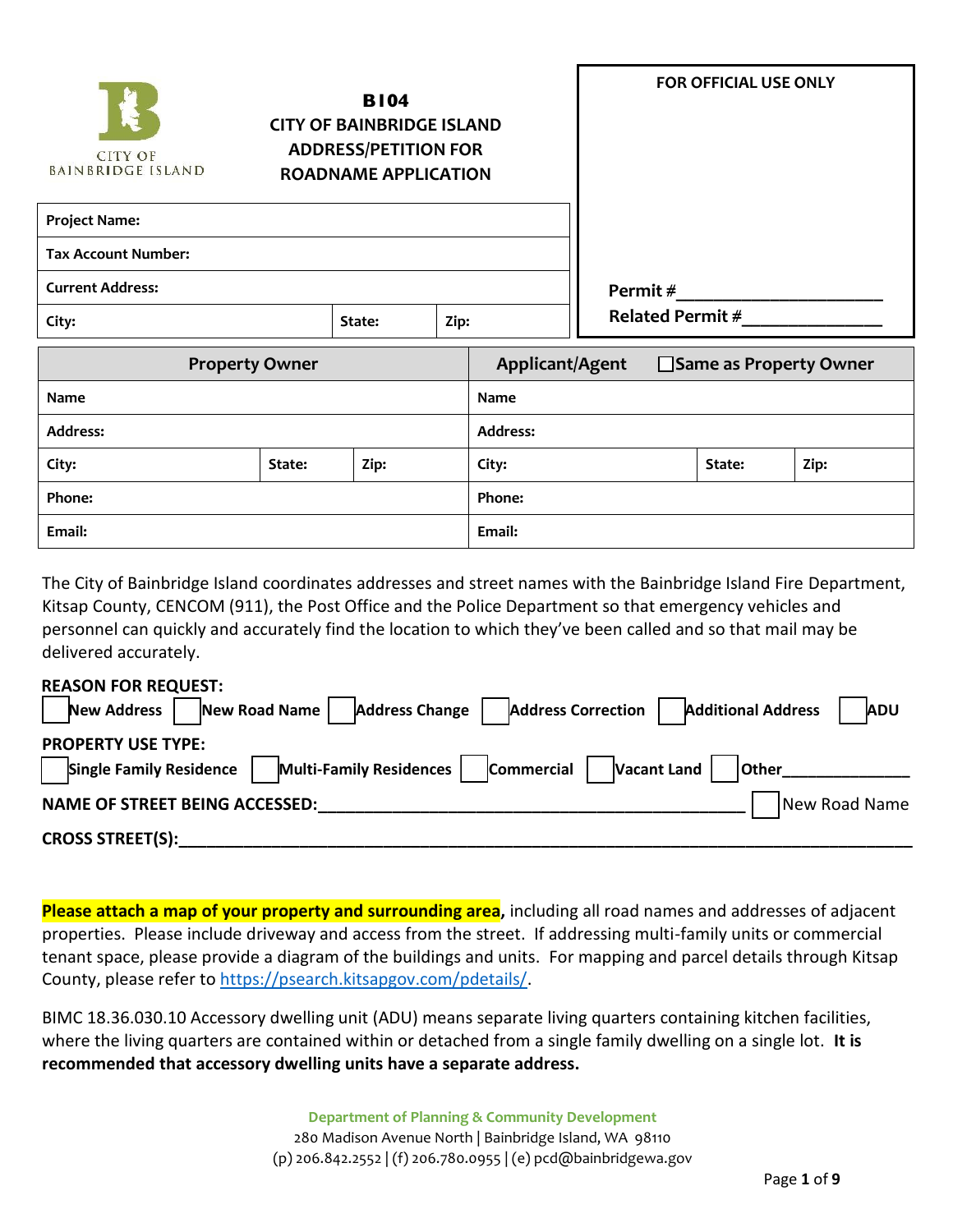| <b>CITY OF</b><br><b>BAINBRIDGE ISLAND</b> | <b>B104</b><br><b>CITY OF BAINBRIDGE ISLAND</b><br><b>ADDRESS/PETITION FOR</b><br><b>ROADNAME APPLICATION</b> |                | <b>FOR OFFICIAL USE ONLY</b> |
|--------------------------------------------|---------------------------------------------------------------------------------------------------------------|----------------|------------------------------|
| <b>Project Name:</b>                       |                                                                                                               |                |                              |
| <b>Tax Account Number:</b>                 |                                                                                                               |                |                              |
| <b>Current Address:</b>                    |                                                                                                               |                | Permit #                     |
| City:                                      | Zip:<br>State:                                                                                                |                | Related Permit #             |
| .                                          |                                                                                                               | $\blacksquare$ | --<br>.                      |

| <b>Property Owner</b> |        | Applicant/Agent | □ Same as Property Owner |        |      |
|-----------------------|--------|-----------------|--------------------------|--------|------|
| <b>Name</b>           |        | Name            |                          |        |      |
| <b>Address:</b>       |        | <b>Address:</b> |                          |        |      |
| City:                 | State: | Zip:            | City:                    | State: | Zip: |
| Phone:                |        | Phone:          |                          |        |      |
| Email:                |        | Email:          |                          |        |      |

The City of Bainbridge Island coordinates addresses and street names with the Bainbridge Island Fire Department, Kitsap County, CENCOM (911), the Post Office and the Police Department so that emergency vehicles and personnel can quickly and accurately find the location to which they've been called and so that mail may be delivered accurately.

## **REASON FOR REQUEST:**

| <b>New Road Name</b><br><b>Address Change</b><br><b>Address Correction</b><br><b>New Address</b>                             | <b>Additional Address</b><br><b>ADU</b> |
|------------------------------------------------------------------------------------------------------------------------------|-----------------------------------------|
| <b>PROPERTY USE TYPE:</b><br>Commercial<br>Vacant Land  <br><b>Multi-Family Residences</b><br><b>Single Family Residence</b> | <b>Other</b>                            |
| <b>NAME OF STREET BEING ACCESSED:</b>                                                                                        | New Road Name                           |
| <b>CROSS STREET(S):</b>                                                                                                      |                                         |

**Please attach a map of your property and surrounding area,** including all road names and addresses of adjacent properties. Please include driveway and access from the street. If addressing multi-family units or commercial tenant space, please provide a diagram of the buildings and units. For mapping and parcel details through Kitsap County, please refer to [https://psearch.kitsapgov.com/pdetails/.](https://psearch.kitsapgov.com/pdetails/)

BIMC 18.36.030.10 Accessory dwelling unit (ADU) means separate living quarters containing kitchen facilities, where the living quarters are contained within or detached from a single family dwelling on a single lot. **It is recommended that accessory dwelling units have a separate address.**

**Department of Planning & Community Development**

280 Madison Avenue North | Bainbridge Island, WA 98110 (p) 206.842.2552 | (f) 206.780.0955 | (e) pcd@bainbridgewa.gov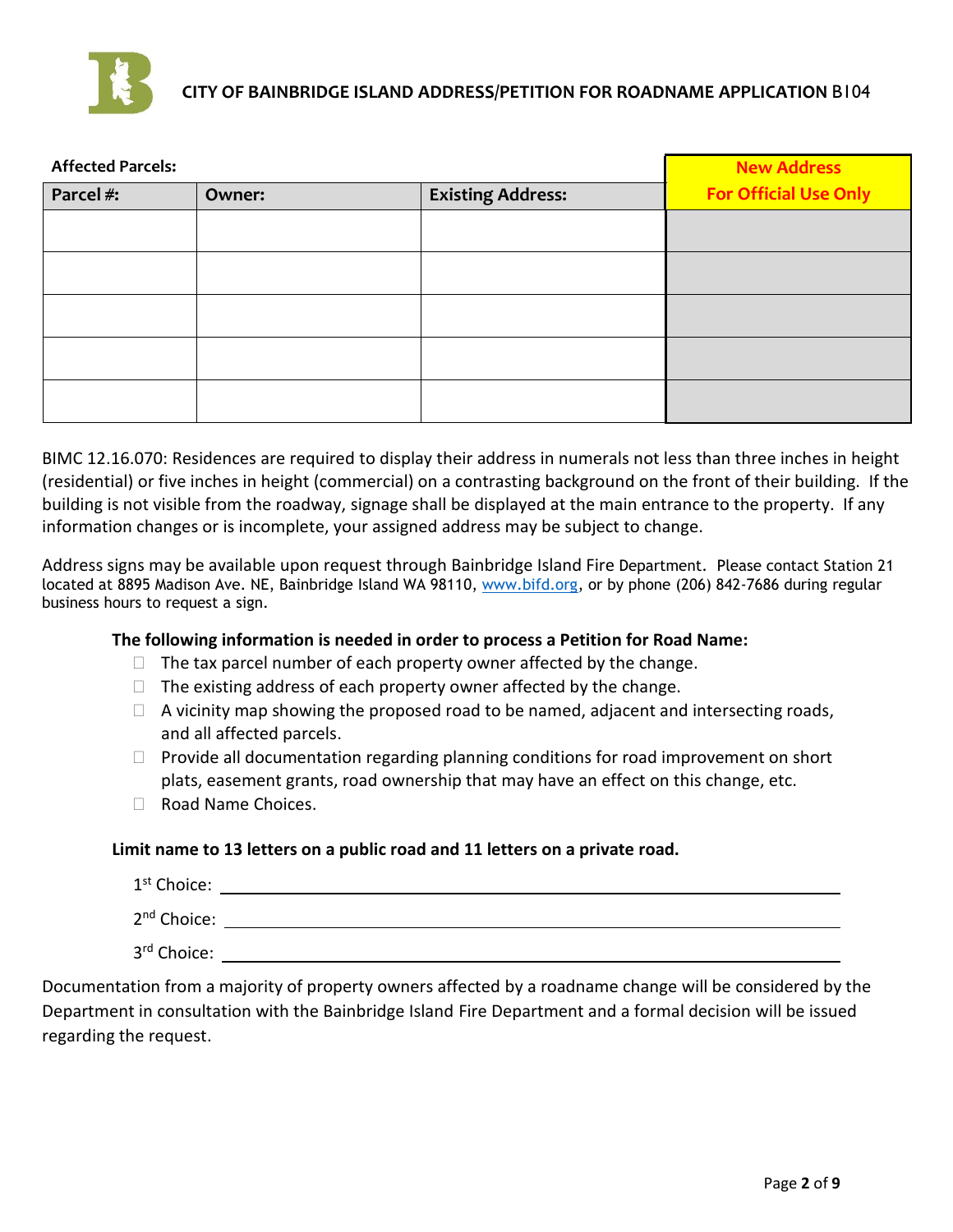

| <b>Affected Parcels:</b> |                                    |  | <b>New Address</b>           |
|--------------------------|------------------------------------|--|------------------------------|
| Parcel#:                 | <b>Existing Address:</b><br>Owner: |  | <b>For Official Use Only</b> |
|                          |                                    |  |                              |
|                          |                                    |  |                              |
|                          |                                    |  |                              |
|                          |                                    |  |                              |
|                          |                                    |  |                              |

BIMC 12.16.070: Residences are required to display their address in numerals not less than three inches in height (residential) or five inches in height (commercial) on a contrasting background on the front of their building. If the building is not visible from the roadway, signage shall be displayed at the main entrance to the property. If any information changes or is incomplete, your assigned address may be subject to change.

Address signs may be available upon request through Bainbridge Island Fire Department. Please contact Station 21 located at 8895 Madison Ave. NE, Bainbridge Island WA 98110, [www.bifd.org,](http://www.bifd.org/) or by phone (206) 842-7686 during regular business hours to request a sign.

## **The following information is needed in order to process a Petition for Road Name:**

- $\Box$  The tax parcel number of each property owner affected by the change.
- $\Box$  The existing address of each property owner affected by the change.
- $\Box$  A vicinity map showing the proposed road to be named, adjacent and intersecting roads, and all affected parcels.
- $\Box$  Provide all documentation regarding planning conditions for road improvement on short plats, easement grants, road ownership that may have an effect on this change, etc.
- Road Name Choices.

#### **Limit name to 13 letters on a public road and 11 letters on a private road.**

| 1 <sup>st</sup> Choice: |  |
|-------------------------|--|
| 2 <sup>nd</sup> Choice: |  |
| 3rd Choice:             |  |

Documentation from a majority of property owners affected by a roadname change will be considered by the Department in consultation with the Bainbridge Island Fire Department and a formal decision will be issued regarding the request.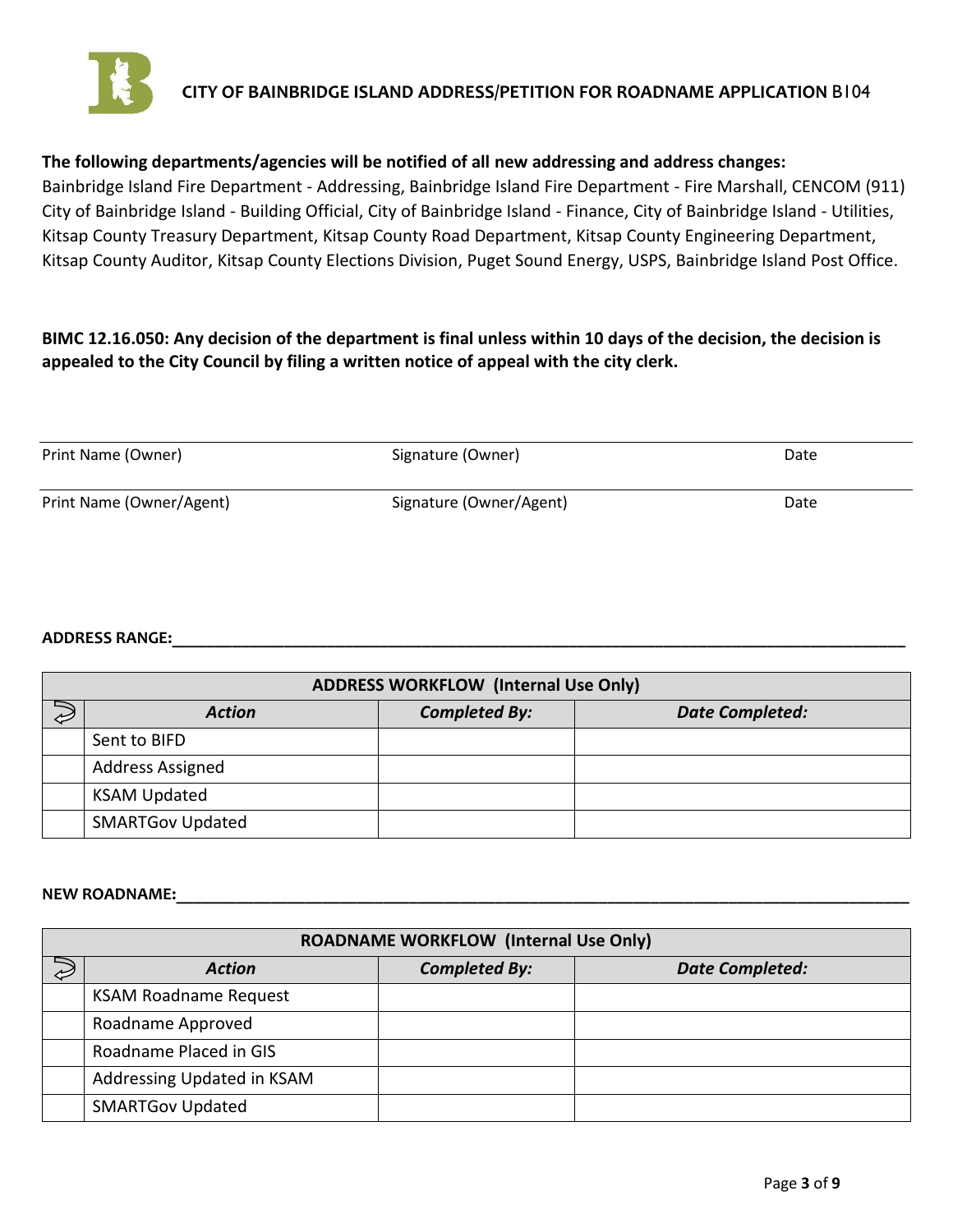

## **The following departments/agencies will be notified of all new addressing and address changes:**

Bainbridge Island Fire Department - Addressing, Bainbridge Island Fire Department - Fire Marshall, CENCOM (911) City of Bainbridge Island - Building Official, City of Bainbridge Island - Finance, City of Bainbridge Island - Utilities, Kitsap County Treasury Department, Kitsap County Road Department, Kitsap County Engineering Department, Kitsap County Auditor, Kitsap County Elections Division, Puget Sound Energy, USPS, Bainbridge Island Post Office.

## **BIMC 12.16.050: Any decision of the department is final unless within 10 days of the decision, the decision is appealed to the City Council by filing a written notice of appeal with the city clerk.**

| Print Name (Owner)       | Signature (Owner)       | Date |
|--------------------------|-------------------------|------|
| Print Name (Owner/Agent) | Signature (Owner/Agent) | Date |

#### $\mathsf{ADDRESS}\ \mathsf{RANGE:}\ \mathsf{QEDRESS}\ \mathsf{RANGE:}\ \mathsf{QEDSASS} \ \mathsf{RANGE:}\ \mathsf{QEDSASSS} \ \mathsf{QEDS} \mathsf{QEDS} \mathsf{QEDS} \mathsf{QEDS} \mathsf{QEDS} \mathsf{QEDS} \mathsf{QEDS} \mathsf{QEDS} \mathsf{QEDS} \mathsf{QEDS} \mathsf{QEDS} \mathsf{QEDS} \mathsf{QEDS} \mathsf{QEDS} \mathsf{QEDS} \mathsf{QEDS} \mathsf{QEDS} \mathsf{QEDS} \mathsf{QEDS} \mathsf$

|                         | <b>ADDRESS WORKFLOW (Internal Use Only)</b> |                        |
|-------------------------|---------------------------------------------|------------------------|
| <b>Action</b>           | <b>Completed By:</b>                        | <b>Date Completed:</b> |
| Sent to BIFD            |                                             |                        |
| <b>Address Assigned</b> |                                             |                        |
| <b>KSAM Updated</b>     |                                             |                        |
| <b>SMARTGov Updated</b> |                                             |                        |

#### NEW ROADNAME: The state of the state of the state of the state of the state of the state of the state of the state of the state of the state of the state of the state of the state of the state of the state of the state of

| <b>ROADNAME WORKFLOW (Internal Use Only)</b> |                      |                        |  |
|----------------------------------------------|----------------------|------------------------|--|
| <b>Action</b>                                | <b>Completed By:</b> | <b>Date Completed:</b> |  |
| <b>KSAM Roadname Request</b>                 |                      |                        |  |
| Roadname Approved                            |                      |                        |  |
| Roadname Placed in GIS                       |                      |                        |  |
| Addressing Updated in KSAM                   |                      |                        |  |
| <b>SMARTGov Updated</b>                      |                      |                        |  |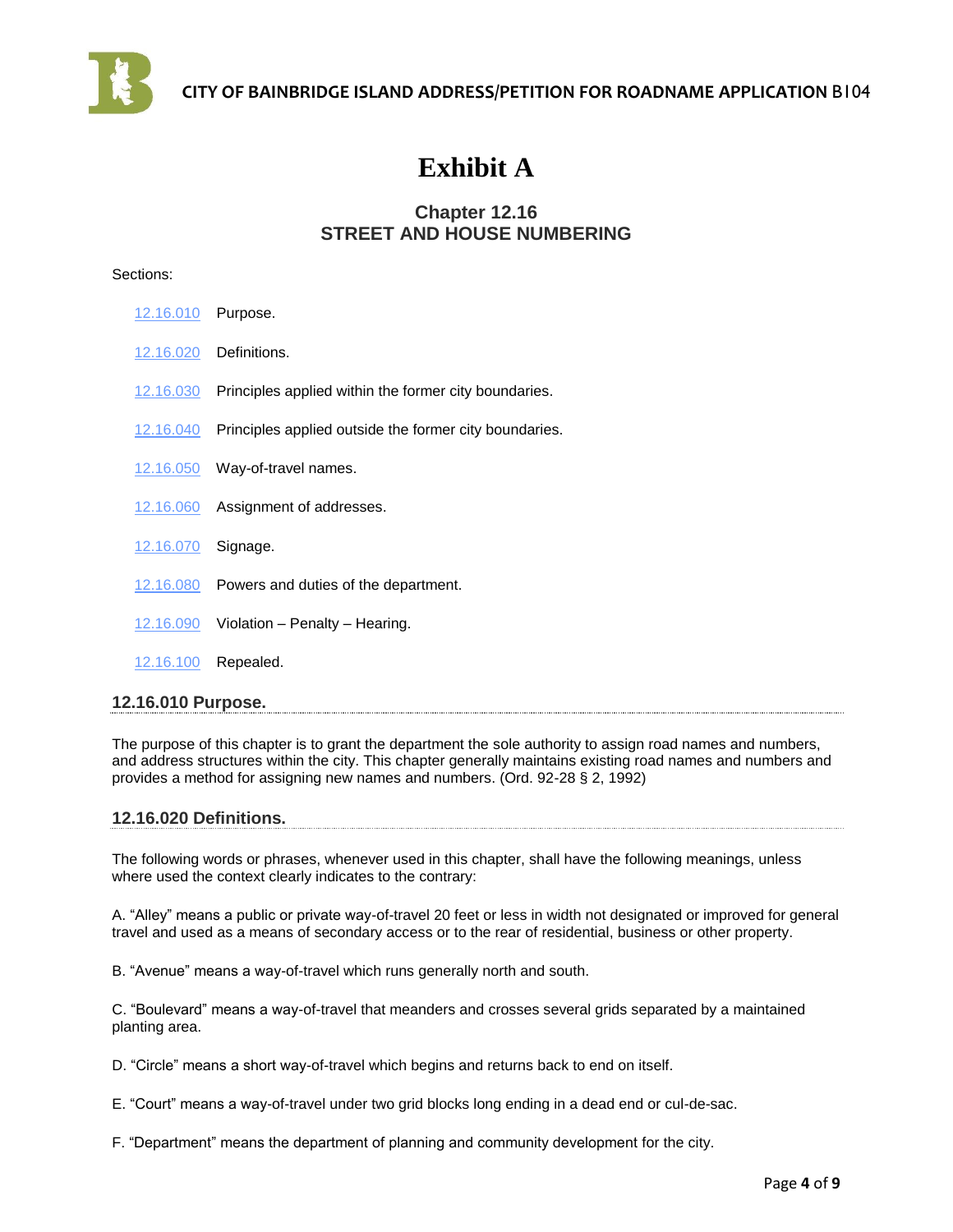

# **Exhibit A**

## **Chapter 12.16 STREET AND HOUSE NUMBERING**

#### Sections:

| 12.16.010 Purpose.  |                                                                  |
|---------------------|------------------------------------------------------------------|
|                     | 12.16.020 Definitions.                                           |
|                     | 12.16.030 Principles applied within the former city boundaries.  |
|                     | 12.16.040 Principles applied outside the former city boundaries. |
|                     | 12.16.050 Way-of-travel names.                                   |
|                     | 12.16.060 Assignment of addresses.                               |
| 12.16.070 Signage.  |                                                                  |
|                     | 12.16.080 Powers and duties of the department.                   |
|                     | 12.16.090 Violation - Penalty - Hearing.                         |
| 12.16.100 Repealed. |                                                                  |
|                     |                                                                  |

#### **12.16.010 Purpose.**

The purpose of this chapter is to grant the department the sole authority to assign road names and numbers, and address structures within the city. This chapter generally maintains existing road names and numbers and provides a method for assigning new names and numbers. (Ord. 92-28 § 2, 1992)

#### **12.16.020 Definitions.**

The following words or phrases, whenever used in this chapter, shall have the following meanings, unless where used the context clearly indicates to the contrary:

A. "Alley" means a public or private way-of-travel 20 feet or less in width not designated or improved for general travel and used as a means of secondary access or to the rear of residential, business or other property.

B. "Avenue" means a way-of-travel which runs generally north and south.

C. "Boulevard" means a way-of-travel that meanders and crosses several grids separated by a maintained planting area.

D. "Circle" means a short way-of-travel which begins and returns back to end on itself.

E. "Court" means a way-of-travel under two grid blocks long ending in a dead end or cul-de-sac.

F. "Department" means the department of planning and community development for the city.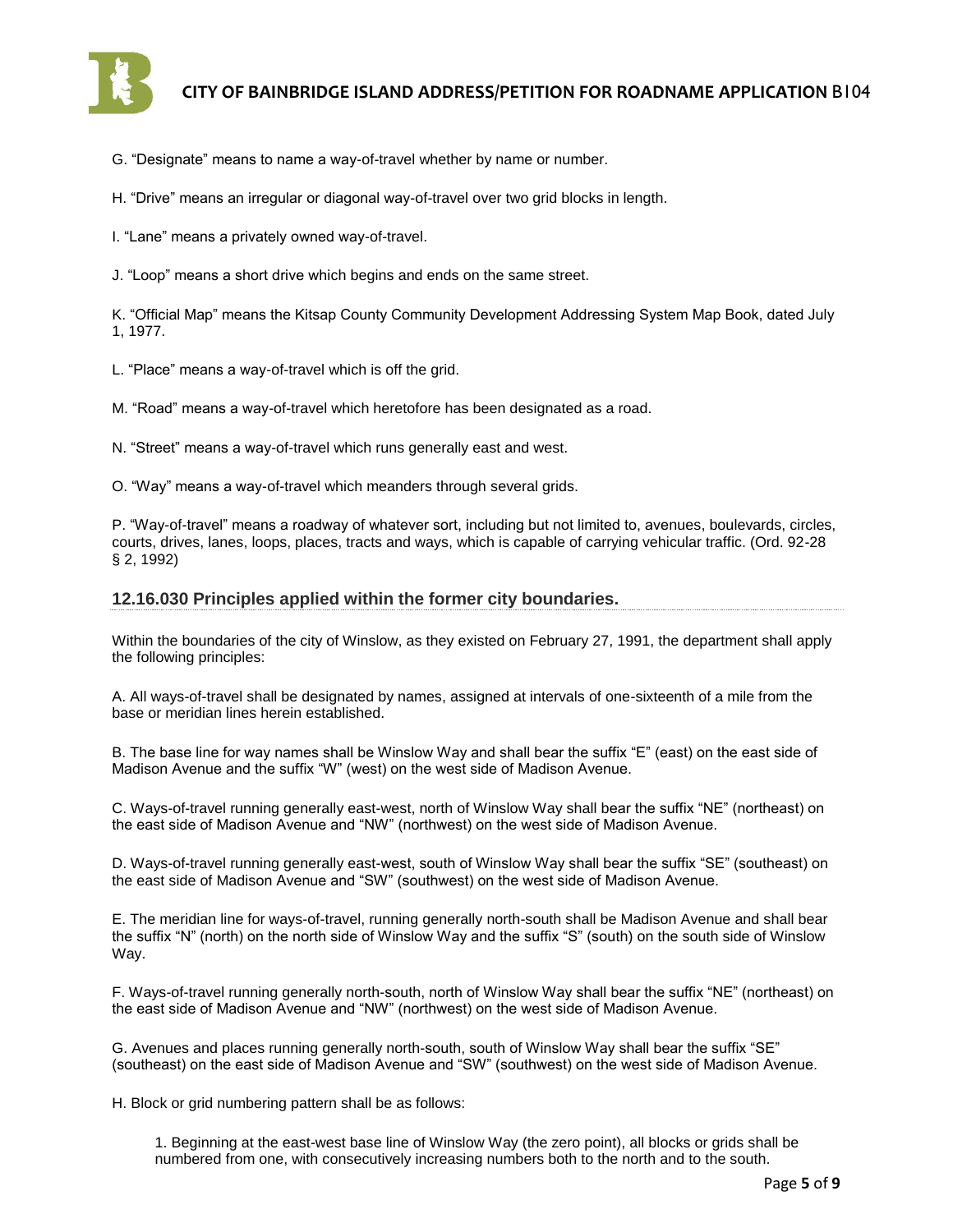

- G. "Designate" means to name a way-of-travel whether by name or number.
- H. "Drive" means an irregular or diagonal way-of-travel over two grid blocks in length.
- I. "Lane" means a privately owned way-of-travel.
- J. "Loop" means a short drive which begins and ends on the same street.

K. "Official Map" means the Kitsap County Community Development Addressing System Map Book, dated July 1, 1977.

- L. "Place" means a way-of-travel which is off the grid.
- M. "Road" means a way-of-travel which heretofore has been designated as a road.
- N. "Street" means a way-of-travel which runs generally east and west.
- O. "Way" means a way-of-travel which meanders through several grids.

P. "Way-of-travel" means a roadway of whatever sort, including but not limited to, avenues, boulevards, circles, courts, drives, lanes, loops, places, tracts and ways, which is capable of carrying vehicular traffic. (Ord. 92-28 § 2, 1992)

#### **12.16.030 Principles applied within the former city boundaries.**

Within the boundaries of the city of Winslow, as they existed on February 27, 1991, the department shall apply the following principles:

A. All ways-of-travel shall be designated by names, assigned at intervals of one-sixteenth of a mile from the base or meridian lines herein established.

B. The base line for way names shall be Winslow Way and shall bear the suffix "E" (east) on the east side of Madison Avenue and the suffix "W" (west) on the west side of Madison Avenue.

C. Ways-of-travel running generally east-west, north of Winslow Way shall bear the suffix "NE" (northeast) on the east side of Madison Avenue and "NW" (northwest) on the west side of Madison Avenue.

D. Ways-of-travel running generally east-west, south of Winslow Way shall bear the suffix "SE" (southeast) on the east side of Madison Avenue and "SW" (southwest) on the west side of Madison Avenue.

E. The meridian line for ways-of-travel, running generally north-south shall be Madison Avenue and shall bear the suffix "N" (north) on the north side of Winslow Way and the suffix "S" (south) on the south side of Winslow Way.

F. Ways-of-travel running generally north-south, north of Winslow Way shall bear the suffix "NE" (northeast) on the east side of Madison Avenue and "NW" (northwest) on the west side of Madison Avenue.

G. Avenues and places running generally north-south, south of Winslow Way shall bear the suffix "SE" (southeast) on the east side of Madison Avenue and "SW" (southwest) on the west side of Madison Avenue.

H. Block or grid numbering pattern shall be as follows:

1. Beginning at the east-west base line of Winslow Way (the zero point), all blocks or grids shall be numbered from one, with consecutively increasing numbers both to the north and to the south.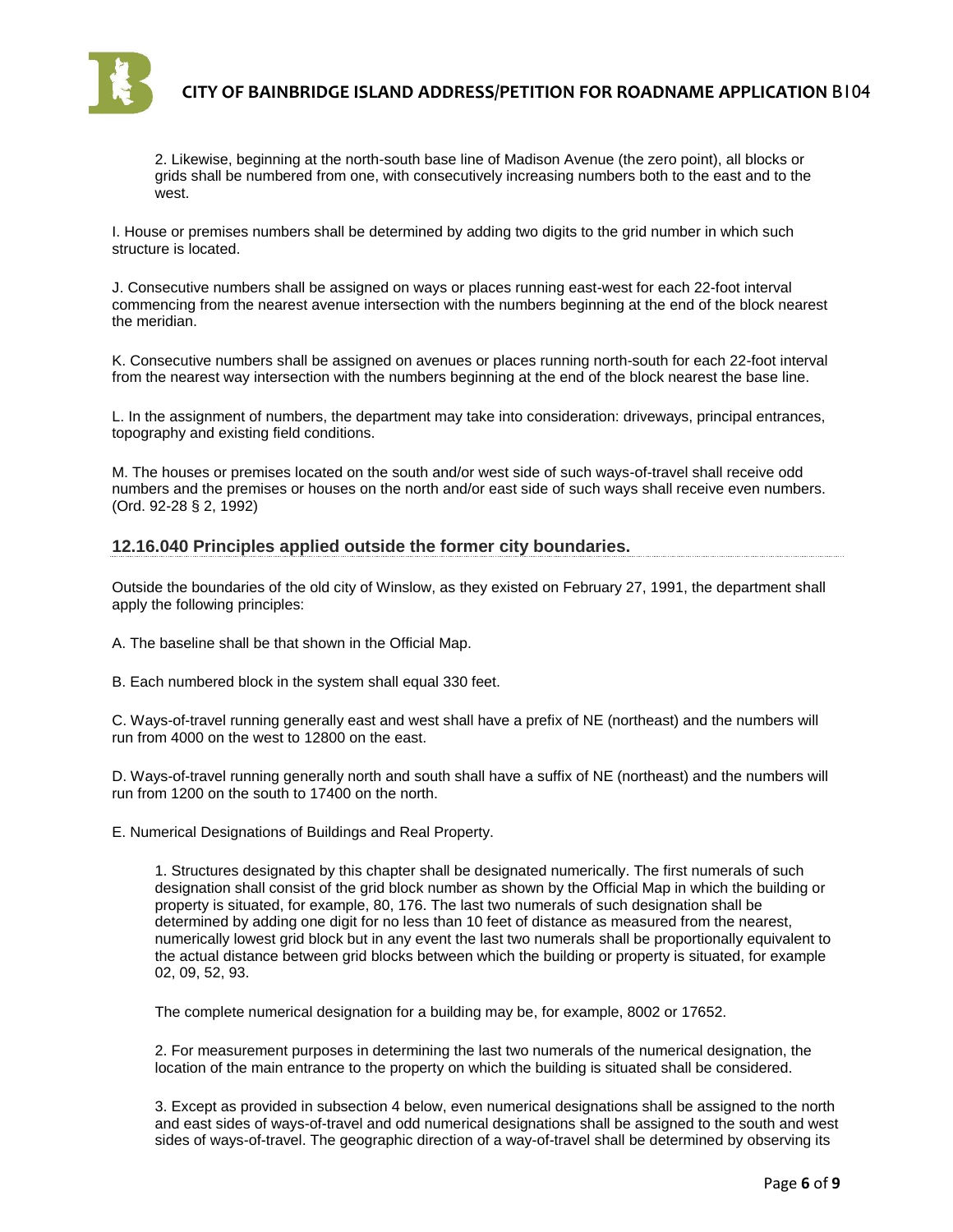

2. Likewise, beginning at the north-south base line of Madison Avenue (the zero point), all blocks or grids shall be numbered from one, with consecutively increasing numbers both to the east and to the west.

I. House or premises numbers shall be determined by adding two digits to the grid number in which such structure is located.

J. Consecutive numbers shall be assigned on ways or places running east-west for each 22-foot interval commencing from the nearest avenue intersection with the numbers beginning at the end of the block nearest the meridian.

K. Consecutive numbers shall be assigned on avenues or places running north-south for each 22-foot interval from the nearest way intersection with the numbers beginning at the end of the block nearest the base line.

L. In the assignment of numbers, the department may take into consideration: driveways, principal entrances, topography and existing field conditions.

M. The houses or premises located on the south and/or west side of such ways-of-travel shall receive odd numbers and the premises or houses on the north and/or east side of such ways shall receive even numbers. (Ord. 92-28 § 2, 1992)

#### **12.16.040 Principles applied outside the former city boundaries.**

Outside the boundaries of the old city of Winslow, as they existed on February 27, 1991, the department shall apply the following principles:

A. The baseline shall be that shown in the Official Map.

B. Each numbered block in the system shall equal 330 feet.

C. Ways-of-travel running generally east and west shall have a prefix of NE (northeast) and the numbers will run from 4000 on the west to 12800 on the east.

D. Ways-of-travel running generally north and south shall have a suffix of NE (northeast) and the numbers will run from 1200 on the south to 17400 on the north.

E. Numerical Designations of Buildings and Real Property.

1. Structures designated by this chapter shall be designated numerically. The first numerals of such designation shall consist of the grid block number as shown by the Official Map in which the building or property is situated, for example, 80, 176. The last two numerals of such designation shall be determined by adding one digit for no less than 10 feet of distance as measured from the nearest, numerically lowest grid block but in any event the last two numerals shall be proportionally equivalent to the actual distance between grid blocks between which the building or property is situated, for example 02, 09, 52, 93.

The complete numerical designation for a building may be, for example, 8002 or 17652.

2. For measurement purposes in determining the last two numerals of the numerical designation, the location of the main entrance to the property on which the building is situated shall be considered.

3. Except as provided in subsection 4 below, even numerical designations shall be assigned to the north and east sides of ways-of-travel and odd numerical designations shall be assigned to the south and west sides of ways-of-travel. The geographic direction of a way-of-travel shall be determined by observing its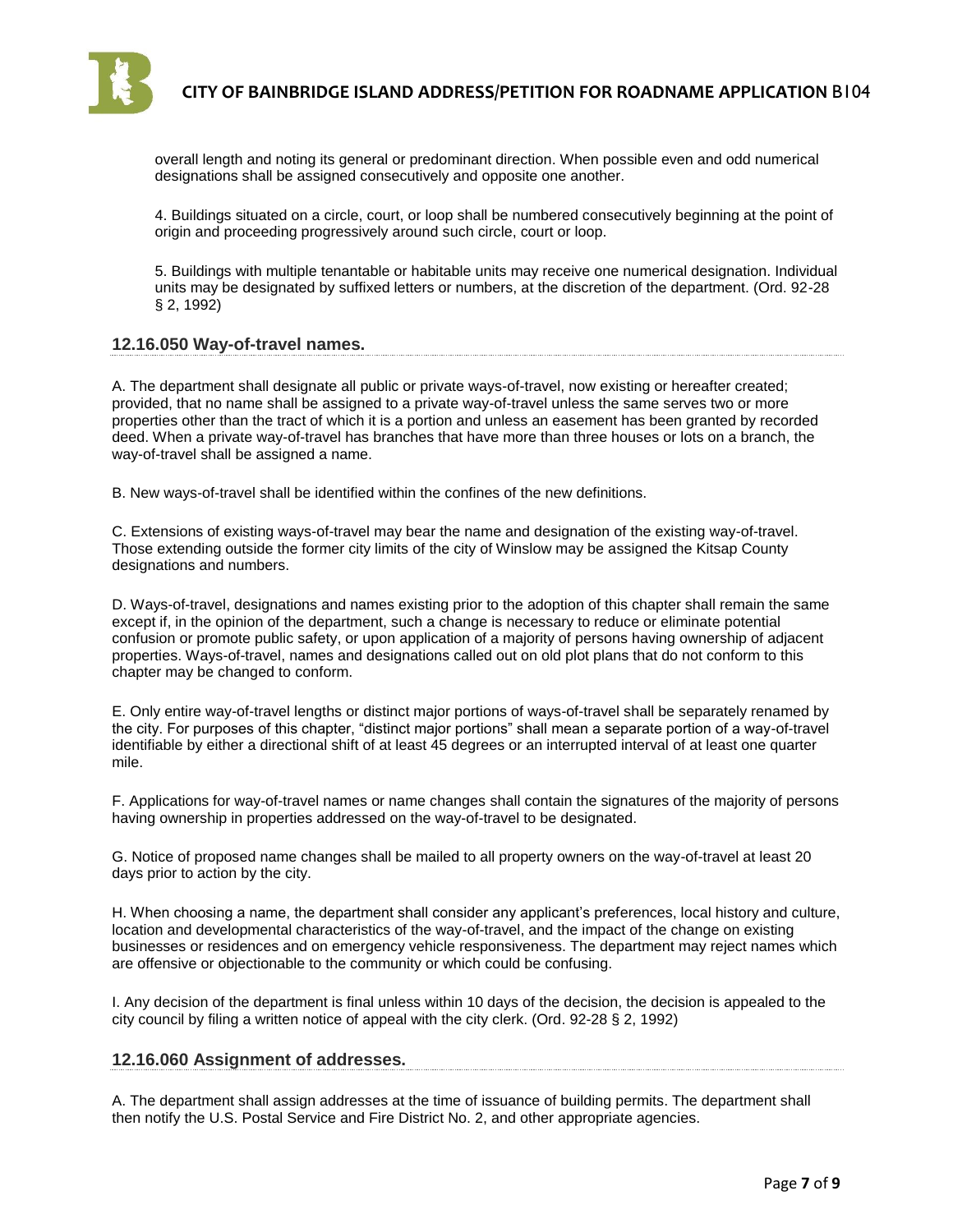

overall length and noting its general or predominant direction. When possible even and odd numerical designations shall be assigned consecutively and opposite one another.

4. Buildings situated on a circle, court, or loop shall be numbered consecutively beginning at the point of origin and proceeding progressively around such circle, court or loop.

5. Buildings with multiple tenantable or habitable units may receive one numerical designation. Individual units may be designated by suffixed letters or numbers, at the discretion of the department. (Ord. 92-28 § 2, 1992)

#### **12.16.050 Way-of-travel names.**

A. The department shall designate all public or private ways-of-travel, now existing or hereafter created; provided, that no name shall be assigned to a private way-of-travel unless the same serves two or more properties other than the tract of which it is a portion and unless an easement has been granted by recorded deed. When a private way-of-travel has branches that have more than three houses or lots on a branch, the way-of-travel shall be assigned a name.

B. New ways-of-travel shall be identified within the confines of the new definitions.

C. Extensions of existing ways-of-travel may bear the name and designation of the existing way-of-travel. Those extending outside the former city limits of the city of Winslow may be assigned the Kitsap County designations and numbers.

D. Ways-of-travel, designations and names existing prior to the adoption of this chapter shall remain the same except if, in the opinion of the department, such a change is necessary to reduce or eliminate potential confusion or promote public safety, or upon application of a majority of persons having ownership of adjacent properties. Ways-of-travel, names and designations called out on old plot plans that do not conform to this chapter may be changed to conform.

E. Only entire way-of-travel lengths or distinct major portions of ways-of-travel shall be separately renamed by the city. For purposes of this chapter, "distinct major portions" shall mean a separate portion of a way-of-travel identifiable by either a directional shift of at least 45 degrees or an interrupted interval of at least one quarter mile.

F. Applications for way-of-travel names or name changes shall contain the signatures of the majority of persons having ownership in properties addressed on the way-of-travel to be designated.

G. Notice of proposed name changes shall be mailed to all property owners on the way-of-travel at least 20 days prior to action by the city.

H. When choosing a name, the department shall consider any applicant's preferences, local history and culture, location and developmental characteristics of the way-of-travel, and the impact of the change on existing businesses or residences and on emergency vehicle responsiveness. The department may reject names which are offensive or objectionable to the community or which could be confusing.

I. Any decision of the department is final unless within 10 days of the decision, the decision is appealed to the city council by filing a written notice of appeal with the city clerk. (Ord. 92-28 § 2, 1992)

#### **12.16.060 Assignment of addresses.**

A. The department shall assign addresses at the time of issuance of building permits. The department shall then notify the U.S. Postal Service and Fire District No. 2, and other appropriate agencies.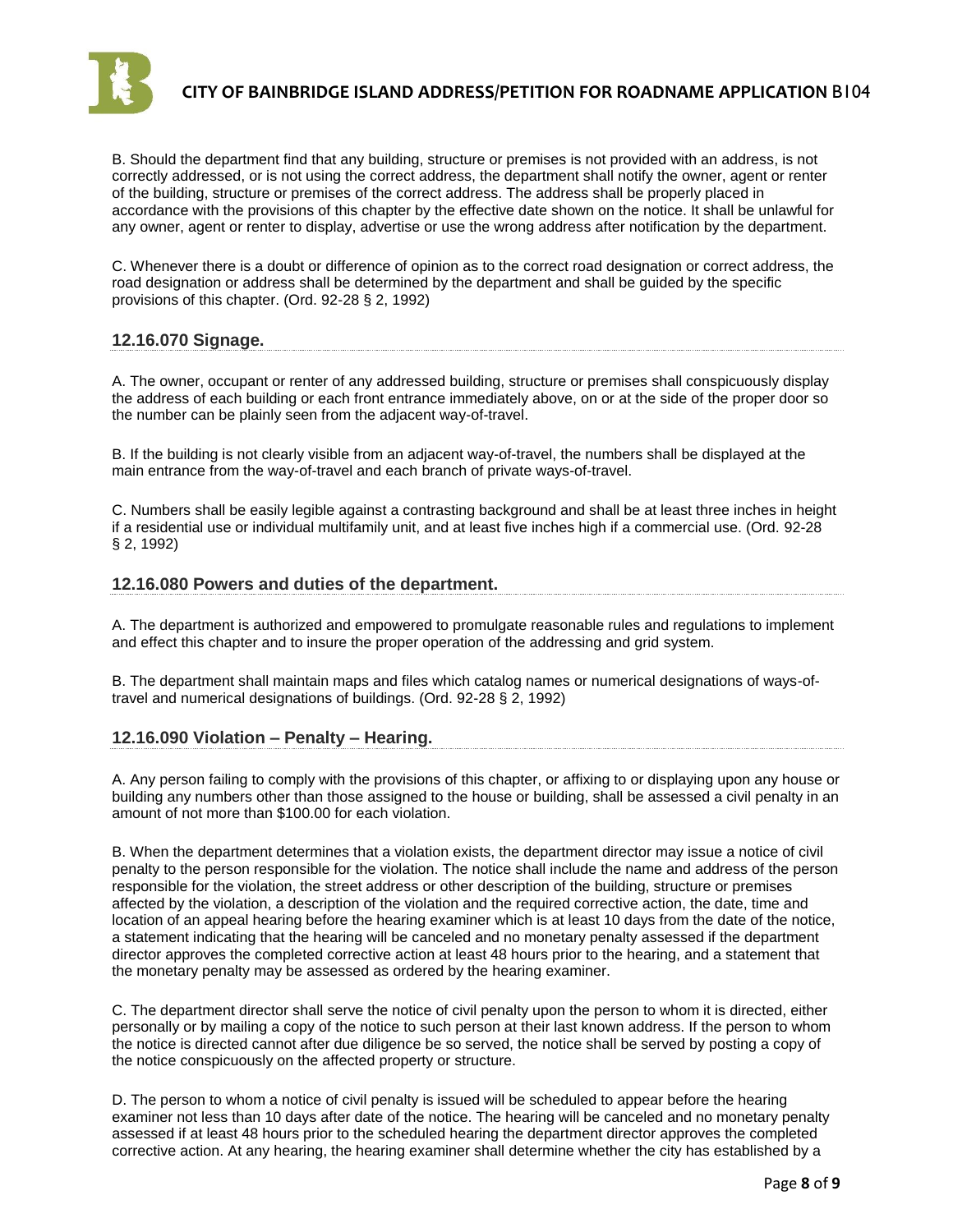

B. Should the department find that any building, structure or premises is not provided with an address, is not correctly addressed, or is not using the correct address, the department shall notify the owner, agent or renter of the building, structure or premises of the correct address. The address shall be properly placed in accordance with the provisions of this chapter by the effective date shown on the notice. It shall be unlawful for any owner, agent or renter to display, advertise or use the wrong address after notification by the department.

C. Whenever there is a doubt or difference of opinion as to the correct road designation or correct address, the road designation or address shall be determined by the department and shall be guided by the specific provisions of this chapter. (Ord. 92-28 § 2, 1992)

#### **12.16.070 Signage.**

A. The owner, occupant or renter of any addressed building, structure or premises shall conspicuously display the address of each building or each front entrance immediately above, on or at the side of the proper door so the number can be plainly seen from the adjacent way-of-travel.

B. If the building is not clearly visible from an adjacent way-of-travel, the numbers shall be displayed at the main entrance from the way-of-travel and each branch of private ways-of-travel.

C. Numbers shall be easily legible against a contrasting background and shall be at least three inches in height if a residential use or individual multifamily unit, and at least five inches high if a commercial use. (Ord. 92-28 § 2, 1992)

#### **12.16.080 Powers and duties of the department.**

A. The department is authorized and empowered to promulgate reasonable rules and regulations to implement and effect this chapter and to insure the proper operation of the addressing and grid system.

B. The department shall maintain maps and files which catalog names or numerical designations of ways-oftravel and numerical designations of buildings. (Ord. 92-28 § 2, 1992)

#### **12.16.090 Violation – Penalty – Hearing.**

A. Any person failing to comply with the provisions of this chapter, or affixing to or displaying upon any house or building any numbers other than those assigned to the house or building, shall be assessed a civil penalty in an amount of not more than \$100.00 for each violation.

B. When the department determines that a violation exists, the department director may issue a notice of civil penalty to the person responsible for the violation. The notice shall include the name and address of the person responsible for the violation, the street address or other description of the building, structure or premises affected by the violation, a description of the violation and the required corrective action, the date, time and location of an appeal hearing before the hearing examiner which is at least 10 days from the date of the notice, a statement indicating that the hearing will be canceled and no monetary penalty assessed if the department director approves the completed corrective action at least 48 hours prior to the hearing, and a statement that the monetary penalty may be assessed as ordered by the hearing examiner.

C. The department director shall serve the notice of civil penalty upon the person to whom it is directed, either personally or by mailing a copy of the notice to such person at their last known address. If the person to whom the notice is directed cannot after due diligence be so served, the notice shall be served by posting a copy of the notice conspicuously on the affected property or structure.

D. The person to whom a notice of civil penalty is issued will be scheduled to appear before the hearing examiner not less than 10 days after date of the notice. The hearing will be canceled and no monetary penalty assessed if at least 48 hours prior to the scheduled hearing the department director approves the completed corrective action. At any hearing, the hearing examiner shall determine whether the city has established by a